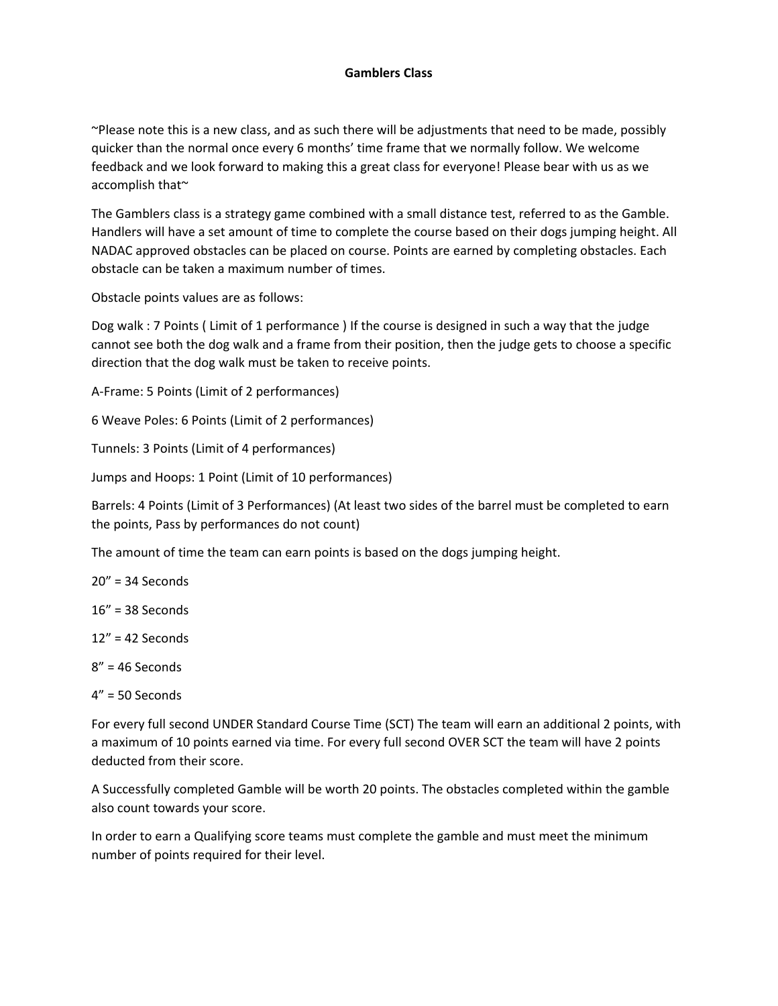## **Gamblers Class**

~Please note this is a new class, and as such there will be adjustments that need to be made, possibly quicker than the normal once every 6 months' time frame that we normally follow. We welcome feedback and we look forward to making this a great class for everyone! Please bear with us as we accomplish that~

The Gamblers class is a strategy game combined with a small distance test, referred to as the Gamble. Handlers will have a set amount of time to complete the course based on their dogs jumping height. All NADAC approved obstacles can be placed on course. Points are earned by completing obstacles. Each obstacle can be taken a maximum number of times.

Obstacle points values are as follows:

Dog walk : 7 Points ( Limit of 1 performance ) If the course is designed in such a way that the judge cannot see both the dog walk and a frame from their position, then the judge gets to choose a specific direction that the dog walk must be taken to receive points.

A‐Frame: 5 Points (Limit of 2 performances)

6 Weave Poles: 6 Points (Limit of 2 performances)

Tunnels: 3 Points (Limit of 4 performances)

Jumps and Hoops: 1 Point (Limit of 10 performances)

Barrels: 4 Points (Limit of 3 Performances) (At least two sides of the barrel must be completed to earn the points, Pass by performances do not count)

The amount of time the team can earn points is based on the dogs jumping height.

20" = 34 Seconds

16" = 38 Seconds

12" = 42 Seconds

8" = 46 Seconds

4" = 50 Seconds

For every full second UNDER Standard Course Time (SCT) The team will earn an additional 2 points, with a maximum of 10 points earned via time. For every full second OVER SCT the team will have 2 points deducted from their score.

A Successfully completed Gamble will be worth 20 points. The obstacles completed within the gamble also count towards your score.

In order to earn a Qualifying score teams must complete the gamble and must meet the minimum number of points required for their level.